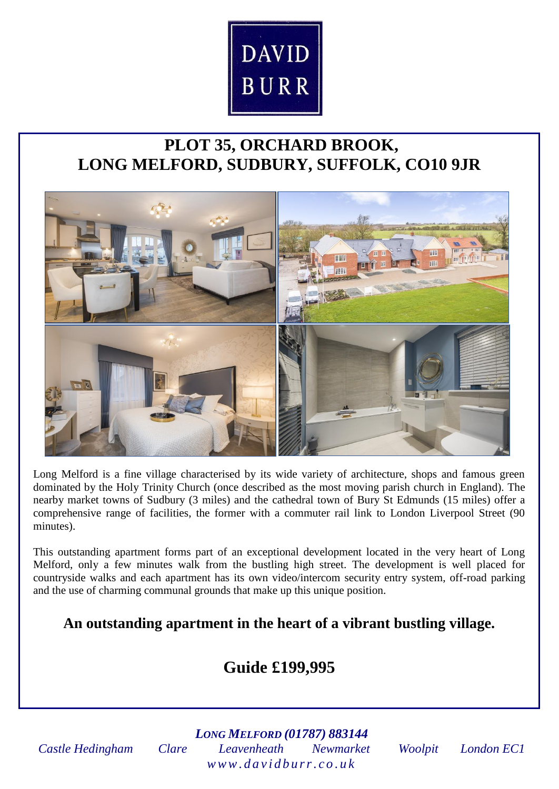

# **PLOT 35, ORCHARD BROOK, LONG MELFORD, SUDBURY, SUFFOLK, CO10 9JR**



Long Melford is a fine village characterised by its wide variety of architecture, shops and famous green dominated by the Holy Trinity Church (once described as the most moving parish church in England). The nearby market towns of Sudbury (3 miles) and the cathedral town of Bury St Edmunds (15 miles) offer a comprehensive range of facilities, the former with a commuter rail link to London Liverpool Street (90 minutes).

This outstanding apartment forms part of an exceptional development located in the very heart of Long Melford, only a few minutes walk from the bustling high street. The development is well placed for countryside walks and each apartment has its own video/intercom security entry system, off-road parking and the use of charming communal grounds that make up this unique position.

## **An outstanding apartment in the heart of a vibrant bustling village.**

## **Guide £199,995**

*LONG MELFORD (01787) 883144 Castle Hedingham Clare Leavenheath Newmarket Woolpit London EC1 w w w . d a v i d b u r r . c o . u k*